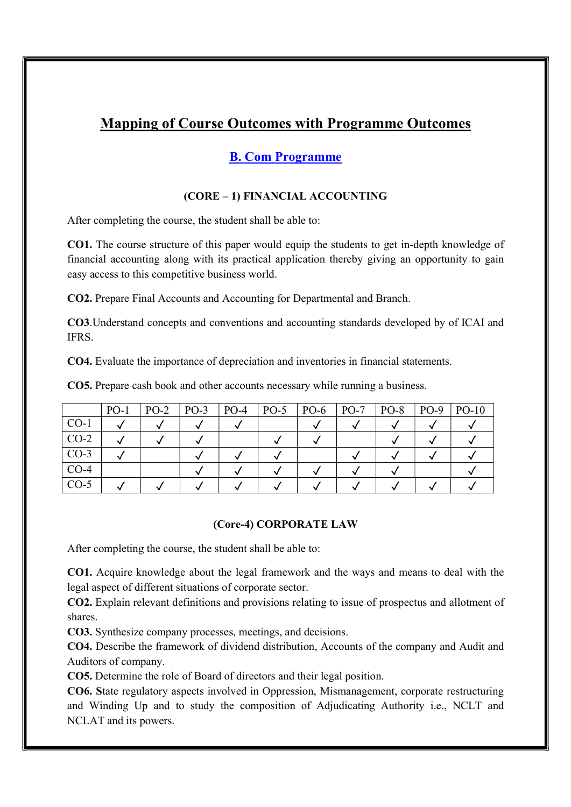# Mapping of Course Outcomes with Programme Outcomes

# B. Com Programme

# (CORE – 1) FINANCIAL ACCOUNTING

After completing the course, the student shall be able to:

CO1. The course structure of this paper would equip the students to get in-depth knowledge of financial accounting along with its practical application thereby giving an opportunity to gain easy access to this competitive business world.

CO2. Prepare Final Accounts and Accounting for Departmental and Branch.

CO3.Understand concepts and conventions and accounting standards developed by of ICAI and IFRS.

CO4. Evaluate the importance of depreciation and inventories in financial statements.

CO5. Prepare cash book and other accounts necessary while running a business.

|        | $PO-1$ | $PO-2$ | $PO-3$ | $PO-4$ | $PO-5$ | $PO-6$ | $PO-7$ | $PO-8$ | $PO-9$ | $PO-10$ |
|--------|--------|--------|--------|--------|--------|--------|--------|--------|--------|---------|
| $CO-1$ |        |        |        |        |        |        |        |        |        |         |
| $CO-2$ |        |        |        |        |        |        |        |        |        |         |
| $CO-3$ |        |        |        |        |        |        |        |        |        |         |
| $CO-4$ |        |        |        |        |        |        |        |        |        |         |
| $CO-5$ |        |        |        |        |        |        |        |        |        |         |

# (Core-4) CORPORATE LAW

After completing the course, the student shall be able to:

CO1. Acquire knowledge about the legal framework and the ways and means to deal with the legal aspect of different situations of corporate sector.

CO2. Explain relevant definitions and provisions relating to issue of prospectus and allotment of shares.

CO3. Synthesize company processes, meetings, and decisions.

CO4. Describe the framework of dividend distribution, Accounts of the company and Audit and Auditors of company.

CO5. Determine the role of Board of directors and their legal position.

CO6. State regulatory aspects involved in Oppression, Mismanagement, corporate restructuring and Winding Up and to study the composition of Adjudicating Authority i.e., NCLT and NCLAT and its powers.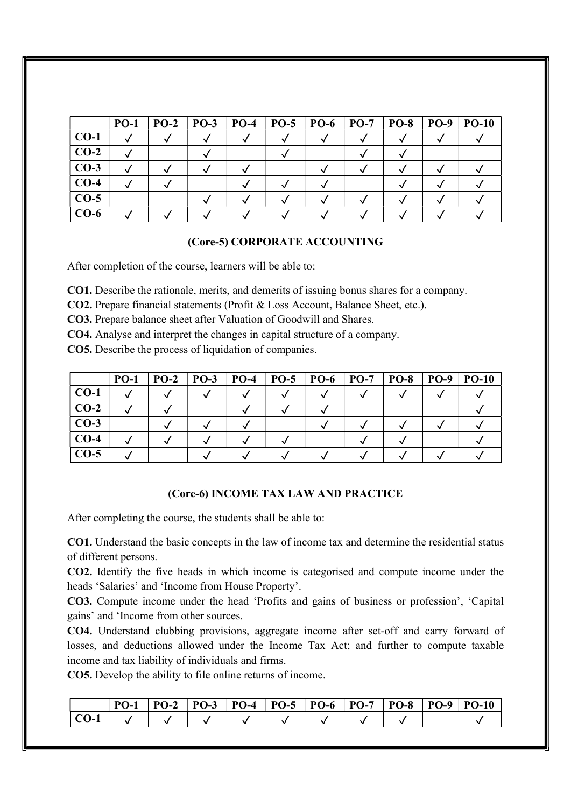|        | <b>PO-1</b> | $PO-2$ | <b>PO-3</b> | $PO-4$ | $PO-5$ | <b>PO-6</b> | $PO-7$ | <b>PO-8</b> | <b>PO-9</b> | <b>PO-10</b> |
|--------|-------------|--------|-------------|--------|--------|-------------|--------|-------------|-------------|--------------|
| $CO-1$ |             |        |             |        |        |             |        |             |             |              |
| $CO-2$ |             |        |             |        |        |             |        |             |             |              |
| $CO-3$ |             |        |             |        |        |             |        |             |             |              |
| $CO-4$ |             |        |             |        |        |             |        |             |             |              |
| $CO-5$ |             |        |             |        |        |             |        |             |             |              |
| $CO-6$ |             |        |             |        |        |             |        |             |             |              |

# (Core-5) CORPORATE ACCOUNTING

After completion of the course, learners will be able to:

CO1. Describe the rationale, merits, and demerits of issuing bonus shares for a company.

CO2. Prepare financial statements (Profit & Loss Account, Balance Sheet, etc.).

CO3. Prepare balance sheet after Valuation of Goodwill and Shares.

CO4. Analyse and interpret the changes in capital structure of a company.

CO5. Describe the process of liquidation of companies.

|        | $PO-1$ | $PO-2$ | <b>PO-3</b> | $PO-4$ | $PO-5$ | $ $ PO-6 | $PO-7$ | <b>PO-8</b> | <b>PO-9</b> | $PO-10$ |
|--------|--------|--------|-------------|--------|--------|----------|--------|-------------|-------------|---------|
| $CO-1$ |        |        |             |        |        |          |        |             |             |         |
| $CO-2$ |        |        |             |        |        |          |        |             |             |         |
| $CO-3$ |        |        |             |        |        |          |        |             |             |         |
| $CO-4$ |        |        |             |        |        |          |        |             |             |         |
| $CO-5$ |        |        |             |        |        |          |        |             |             |         |

#### (Core-6) INCOME TAX LAW AND PRACTICE

After completing the course, the students shall be able to:

CO1. Understand the basic concepts in the law of income tax and determine the residential status of different persons.

CO2. Identify the five heads in which income is categorised and compute income under the heads 'Salaries' and 'Income from House Property'.

CO3. Compute income under the head 'Profits and gains of business or profession', 'Capital gains' and 'Income from other sources.

CO4. Understand clubbing provisions, aggregate income after set-off and carry forward of losses, and deductions allowed under the Income Tax Act; and further to compute taxable income and tax liability of individuals and firms.

CO5. Develop the ability to file online returns of income.

|  |  |  | PO-1   PO-2   PO-3   PO-4   PO-5   PO-6   PO-7   PO-8   PO-9   PO-10 |  |  |
|--|--|--|----------------------------------------------------------------------|--|--|
|  |  |  |                                                                      |  |  |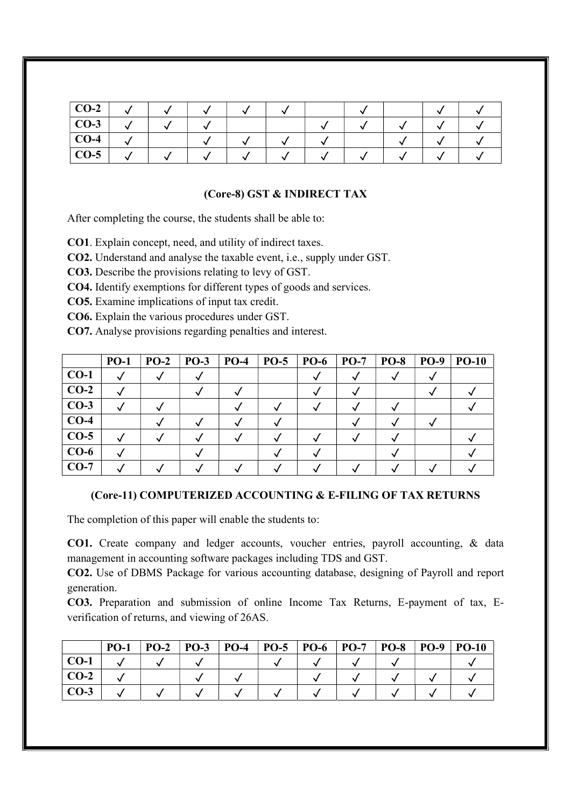| $CO-2$ |  |  |  |  |  |
|--------|--|--|--|--|--|
| $CO-3$ |  |  |  |  |  |
| $CO-4$ |  |  |  |  |  |
| $CO-5$ |  |  |  |  |  |

# (Core-8) GST & INDIRECT TAX

After completing the course, the students shall be able to:

CO1. Explain concept, need, and utility of indirect taxes.

CO2. Understand and analyse the taxable event, i.e., supply under GST.

CO3. Describe the provisions relating to levy of GST.

CO4. Identify exemptions for different types of goods and services.

CO5. Examine implications of input tax credit.

CO6. Explain the various procedures under GST.

CO7. Analyse provisions regarding penalties and interest.

|        | $PO-1$ | $PO-2$ | <b>PO-3</b> | $PO-4$ | $PO-5$ | $PO-6$ | $PO-7$ | <b>PO-8</b> | <b>PO-9</b> | $PO-10$ |
|--------|--------|--------|-------------|--------|--------|--------|--------|-------------|-------------|---------|
| $CO-1$ |        |        |             |        |        |        |        |             |             |         |
| $CO-2$ |        |        |             |        |        |        |        |             |             |         |
| $CO-3$ |        |        |             |        |        |        |        |             |             |         |
| $CO-4$ |        |        |             |        |        |        |        |             |             |         |
| $CO-5$ |        |        |             |        |        |        |        |             |             |         |
| $CO-6$ |        |        |             |        |        |        |        |             |             |         |
| $CO-7$ |        |        |             |        |        |        |        |             |             |         |

# (Core-11) COMPUTERIZED ACCOUNTING & E-FILING OF TAX RETURNS

The completion of this paper will enable the students to:

CO1. Create company and ledger accounts, voucher entries, payroll accounting, & data management in accounting software packages including TDS and GST.

CO2. Use of DBMS Package for various accounting database, designing of Payroll and report generation.

CO3. Preparation and submission of online Income Tax Returns, E-payment of tax, Everification of returns, and viewing of 26AS.

|                        | $PO-1$ | $PO-2$ | $PO-3$ | $PO-4$ | $ $ PO-5 $ $ PO-6 $ $ PO-7 | <b>PO-8</b> | <b>PO-9</b> | $PO-10$ |
|------------------------|--------|--------|--------|--------|----------------------------|-------------|-------------|---------|
| $\mathbf{CO}\text{-}1$ |        |        |        |        |                            |             |             |         |
| $CO-2$                 |        |        |        |        |                            |             |             |         |
| $CO-3$                 |        |        |        |        |                            |             |             |         |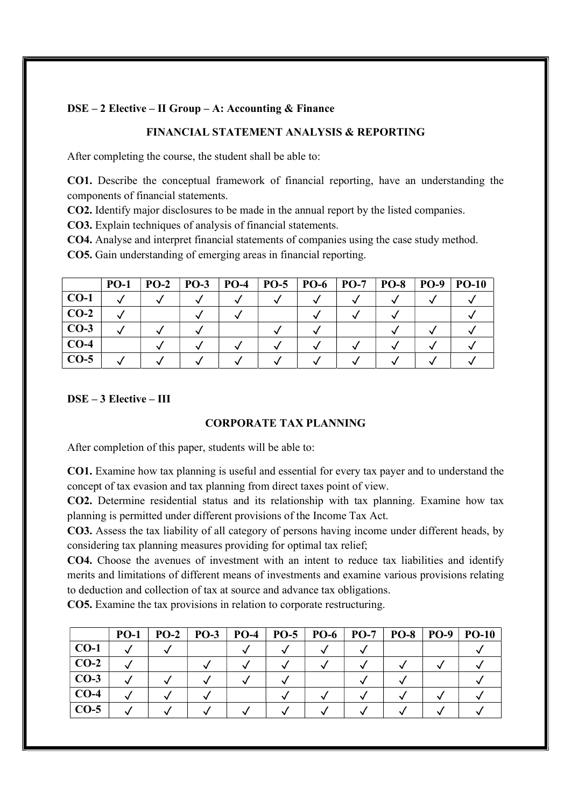# DSE – 2 Elective – II Group – A: Accounting & Finance

# FINANCIAL STATEMENT ANALYSIS & REPORTING

After completing the course, the student shall be able to:

CO1. Describe the conceptual framework of financial reporting, have an understanding the components of financial statements.

CO2. Identify major disclosures to be made in the annual report by the listed companies.

CO3. Explain techniques of analysis of financial statements.

CO4. Analyse and interpret financial statements of companies using the case study method.

CO5. Gain understanding of emerging areas in financial reporting.

|        | <b>PO-1</b> | $PO-2$ | $PO-3$ | $PO-4$ | $PO-5$ | <b>PO-6</b> | $ $ PO-7 | <b>PO-8</b> | <b>PO-9</b> | $PO-10$ |
|--------|-------------|--------|--------|--------|--------|-------------|----------|-------------|-------------|---------|
| $CO-1$ |             |        |        |        |        |             |          |             |             |         |
| $CO-2$ |             |        |        |        |        |             |          |             |             |         |
| $CO-3$ |             |        |        |        |        |             |          |             |             |         |
| $CO-4$ |             |        |        |        |        |             |          |             |             |         |
| $CO-5$ |             |        |        |        |        |             |          |             |             |         |

# DSE – 3 Elective – III

# CORPORATE TAX PLANNING

After completion of this paper, students will be able to:

CO1. Examine how tax planning is useful and essential for every tax payer and to understand the concept of tax evasion and tax planning from direct taxes point of view.

CO2. Determine residential status and its relationship with tax planning. Examine how tax planning is permitted under different provisions of the Income Tax Act.

CO3. Assess the tax liability of all category of persons having income under different heads, by considering tax planning measures providing for optimal tax relief;

CO4. Choose the avenues of investment with an intent to reduce tax liabilities and identify merits and limitations of different means of investments and examine various provisions relating to deduction and collection of tax at source and advance tax obligations.

CO5. Examine the tax provisions in relation to corporate restructuring.

|        | $PO-1$ | $PO-2$ | $PO-3$ | $PO-4$ | $PO-5$ | $PO-6$ | $\mathbf{P}\mathbf{O}\text{-}7$ | <b>PO-8</b> | $PO-9$ | <b>PO-10</b> |
|--------|--------|--------|--------|--------|--------|--------|---------------------------------|-------------|--------|--------------|
| $CO-1$ |        |        |        |        |        |        |                                 |             |        |              |
| $CO-2$ |        |        |        |        |        |        |                                 |             |        |              |
| $CO-3$ |        |        |        |        |        |        |                                 |             |        |              |
| $CO-4$ |        |        |        |        |        |        |                                 |             |        |              |
| $CO-5$ |        |        |        |        |        |        |                                 |             |        |              |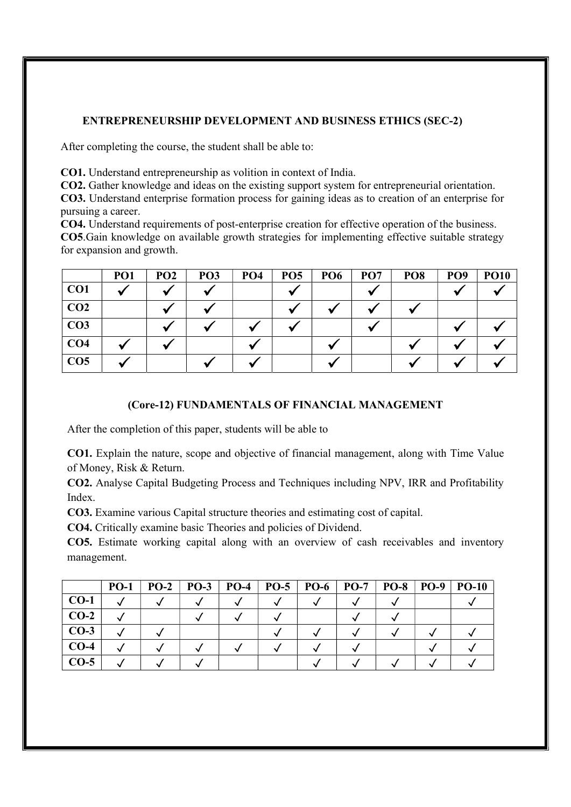# ENTREPRENEURSHIP DEVELOPMENT AND BUSINESS ETHICS (SEC-2)

After completing the course, the student shall be able to:

CO1. Understand entrepreneurship as volition in context of India.

CO2. Gather knowledge and ideas on the existing support system for entrepreneurial orientation. CO3. Understand enterprise formation process for gaining ideas as to creation of an enterprise for pursuing a career.

CO4. Understand requirements of post-enterprise creation for effective operation of the business. CO5.Gain knowledge on available growth strategies for implementing effective suitable strategy for expansion and growth.

|                 | <b>PO1</b> | PO <sub>2</sub> | PO <sub>3</sub> | PO <sub>4</sub> | PO <sub>5</sub> | <b>PO6</b> | PO <sub>7</sub> | PO <sub>8</sub> | PO <sub>9</sub> | <b>PO10</b> |
|-----------------|------------|-----------------|-----------------|-----------------|-----------------|------------|-----------------|-----------------|-----------------|-------------|
| CO <sub>1</sub> |            |                 |                 |                 |                 |            |                 |                 |                 |             |
| CO <sub>2</sub> |            |                 |                 |                 |                 |            |                 |                 |                 |             |
| CO <sub>3</sub> |            |                 |                 |                 |                 |            |                 |                 |                 |             |
| CO <sub>4</sub> |            |                 |                 |                 |                 |            |                 |                 |                 |             |
| CO <sub>5</sub> |            |                 |                 |                 |                 |            |                 |                 |                 |             |

# (Core-12) FUNDAMENTALS OF FINANCIAL MANAGEMENT

After the completion of this paper, students will be able to

CO1. Explain the nature, scope and objective of financial management, along with Time Value of Money, Risk & Return.

CO2. Analyse Capital Budgeting Process and Techniques including NPV, IRR and Profitability Index.

CO3. Examine various Capital structure theories and estimating cost of capital.

CO4. Critically examine basic Theories and policies of Dividend.

CO5. Estimate working capital along with an overview of cash receivables and inventory management.

|        | $PO-1$ | $PO-2$ | $PO-3$ | $\mathbf{P}\mathbf{O}\text{-}4$ | $PO-5$ | $PO-6$   $PO-7$ | <b>PO-8</b> | $PO-9$ | $PO-10$ |
|--------|--------|--------|--------|---------------------------------|--------|-----------------|-------------|--------|---------|
| $CO-1$ |        |        |        |                                 |        |                 |             |        |         |
| $CO-2$ |        |        |        |                                 |        |                 |             |        |         |
| $CO-3$ |        |        |        |                                 |        |                 |             |        |         |
| $CO-4$ |        |        |        |                                 |        |                 |             |        |         |
| $CO-5$ |        |        |        |                                 |        |                 |             |        |         |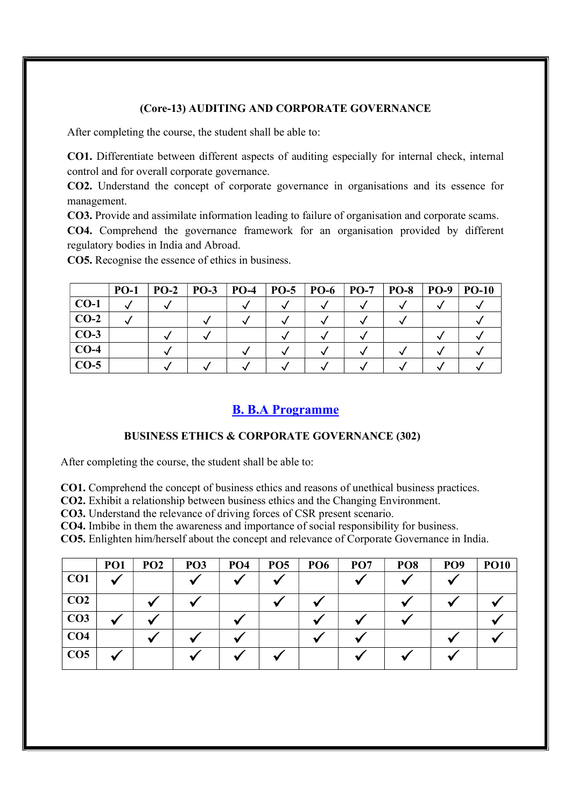# (Core-13) AUDITING AND CORPORATE GOVERNANCE

After completing the course, the student shall be able to:

CO1. Differentiate between different aspects of auditing especially for internal check, internal control and for overall corporate governance.

CO2. Understand the concept of corporate governance in organisations and its essence for management.

CO3. Provide and assimilate information leading to failure of organisation and corporate scams.

CO4. Comprehend the governance framework for an organisation provided by different regulatory bodies in India and Abroad.

CO5. Recognise the essence of ethics in business.

|        | <b>PO-1</b> | $PO-2$ | $PO-3$ | $\overline{P}O-4$ | $PO-5$ | <b>PO-6</b> | $PO-7$ | <b>PO-8</b> | <b>PO-9</b> | $PO-10$ |
|--------|-------------|--------|--------|-------------------|--------|-------------|--------|-------------|-------------|---------|
| $CO-1$ |             |        |        |                   |        |             |        |             |             |         |
| $CO-2$ |             |        |        |                   |        |             |        |             |             |         |
| $CO-3$ |             |        |        |                   |        |             |        |             |             |         |
| $CO-4$ |             |        |        |                   |        |             |        |             |             |         |
| $CO-5$ |             |        |        |                   |        |             |        |             |             |         |

# B. B.A Programme

# BUSINESS ETHICS & CORPORATE GOVERNANCE (302)

After completing the course, the student shall be able to:

CO1. Comprehend the concept of business ethics and reasons of unethical business practices.

CO2. Exhibit a relationship between business ethics and the Changing Environment.

CO3. Understand the relevance of driving forces of CSR present scenario.

CO4. Imbibe in them the awareness and importance of social responsibility for business.

CO5. Enlighten him/herself about the concept and relevance of Corporate Governance in India.

|                 | PO <sub>1</sub> | PO <sub>2</sub> | PO <sub>3</sub> | PO <sub>4</sub> | PO <sub>5</sub> | PO <sub>6</sub> | PO <sub>7</sub> | PO <sub>8</sub> | PO <sub>9</sub> | <b>PO10</b> |
|-----------------|-----------------|-----------------|-----------------|-----------------|-----------------|-----------------|-----------------|-----------------|-----------------|-------------|
| CO1             |                 |                 |                 |                 |                 |                 |                 |                 |                 |             |
| CO <sub>2</sub> |                 |                 |                 |                 |                 |                 |                 |                 |                 |             |
| CO <sub>3</sub> |                 |                 |                 |                 |                 |                 |                 |                 |                 |             |
| CO <sub>4</sub> |                 |                 |                 |                 |                 |                 |                 |                 |                 |             |
| CO <sub>5</sub> |                 |                 |                 |                 |                 |                 |                 |                 |                 |             |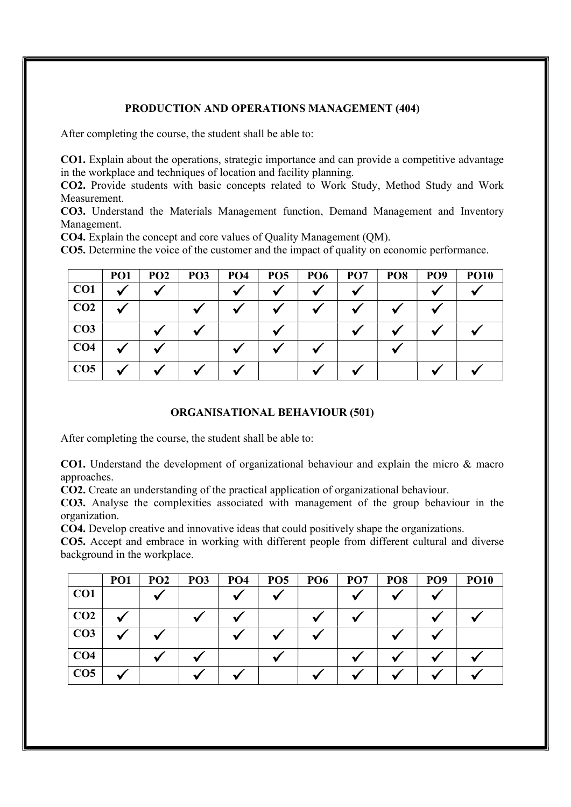# PRODUCTION AND OPERATIONS MANAGEMENT (404)

After completing the course, the student shall be able to:

CO1. Explain about the operations, strategic importance and can provide a competitive advantage in the workplace and techniques of location and facility planning.

CO2. Provide students with basic concepts related to Work Study, Method Study and Work Measurement.

CO3. Understand the Materials Management function, Demand Management and Inventory Management.

CO4. Explain the concept and core values of Quality Management (QM).

CO5. Determine the voice of the customer and the impact of quality on economic performance.

|                 | PO <sub>1</sub> | PO <sub>2</sub> | PO <sub>3</sub> | PO <sub>4</sub> | PO <sub>5</sub> | PO <sub>6</sub> | PO <sub>7</sub> | PO <sub>8</sub> | PO <sub>9</sub> | <b>PO10</b> |
|-----------------|-----------------|-----------------|-----------------|-----------------|-----------------|-----------------|-----------------|-----------------|-----------------|-------------|
| CO1             |                 |                 |                 |                 |                 |                 |                 |                 |                 |             |
| CO <sub>2</sub> |                 |                 |                 |                 |                 |                 |                 |                 |                 |             |
| CO <sub>3</sub> |                 |                 |                 |                 |                 |                 |                 |                 |                 |             |
| CO <sub>4</sub> |                 |                 |                 |                 |                 |                 |                 |                 |                 |             |
| CO <sub>5</sub> |                 |                 |                 |                 |                 |                 |                 |                 |                 |             |

# ORGANISATIONAL BEHAVIOUR (501)

After completing the course, the student shall be able to:

CO1. Understand the development of organizational behaviour and explain the micro & macro approaches.

CO2. Create an understanding of the practical application of organizational behaviour.

CO3. Analyse the complexities associated with management of the group behaviour in the organization.

CO4. Develop creative and innovative ideas that could positively shape the organizations.

CO5. Accept and embrace in working with different people from different cultural and diverse background in the workplace.

|                 | <b>PO1</b> | PO <sub>2</sub> | PO <sub>3</sub> | PO <sub>4</sub> | PO <sub>5</sub> | PO <sub>6</sub> | PO <sub>7</sub> | PO <sub>8</sub> | PO <sub>9</sub> | <b>PO10</b> |
|-----------------|------------|-----------------|-----------------|-----------------|-----------------|-----------------|-----------------|-----------------|-----------------|-------------|
| CO <sub>1</sub> |            |                 |                 |                 |                 |                 |                 |                 |                 |             |
| CO <sub>2</sub> |            |                 |                 |                 |                 |                 |                 |                 |                 |             |
| CO <sub>3</sub> |            |                 |                 |                 |                 |                 |                 |                 |                 |             |
| CO <sub>4</sub> |            |                 |                 |                 |                 |                 |                 |                 |                 |             |
| CO <sub>5</sub> |            |                 |                 |                 |                 |                 |                 |                 |                 |             |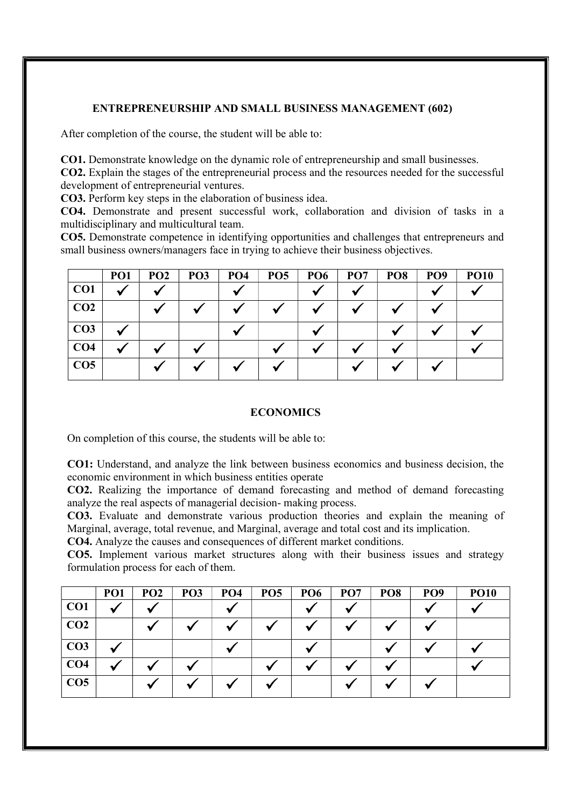# ENTREPRENEURSHIP AND SMALL BUSINESS MANAGEMENT (602)

After completion of the course, the student will be able to:

CO1. Demonstrate knowledge on the dynamic role of entrepreneurship and small businesses.

CO2. Explain the stages of the entrepreneurial process and the resources needed for the successful development of entrepreneurial ventures.

CO3. Perform key steps in the elaboration of business idea.

CO4. Demonstrate and present successful work, collaboration and division of tasks in a multidisciplinary and multicultural team.

CO5. Demonstrate competence in identifying opportunities and challenges that entrepreneurs and small business owners/managers face in trying to achieve their business objectives.

|                 | PO <sub>1</sub> | PO <sub>2</sub> | PO <sub>3</sub> | PO <sub>4</sub> | PO <sub>5</sub> | PO <sub>6</sub> | PO <sub>7</sub> | PO <sub>8</sub> | PO <sub>9</sub> | <b>PO10</b> |
|-----------------|-----------------|-----------------|-----------------|-----------------|-----------------|-----------------|-----------------|-----------------|-----------------|-------------|
| CO1             |                 |                 |                 |                 |                 |                 |                 |                 |                 |             |
| CO <sub>2</sub> |                 |                 |                 |                 |                 |                 |                 |                 |                 |             |
| CO <sub>3</sub> |                 |                 |                 |                 |                 |                 |                 |                 |                 |             |
| CO <sub>4</sub> |                 |                 |                 |                 |                 |                 |                 |                 |                 |             |
| CO <sub>5</sub> |                 |                 |                 |                 |                 |                 |                 |                 |                 |             |

#### **ECONOMICS**

On completion of this course, the students will be able to:

CO1: Understand, and analyze the link between business economics and business decision, the economic environment in which business entities operate

CO2. Realizing the importance of demand forecasting and method of demand forecasting analyze the real aspects of managerial decision- making process.

CO3. Evaluate and demonstrate various production theories and explain the meaning of Marginal, average, total revenue, and Marginal, average and total cost and its implication.

CO4. Analyze the causes and consequences of different market conditions.

CO5. Implement various market structures along with their business issues and strategy formulation process for each of them.

|                 | PO <sub>1</sub> | PO <sub>2</sub> | PO <sub>3</sub> | PO <sub>4</sub> | PO <sub>5</sub> | <b>PO6</b> | PO <sub>7</sub> | PO <sub>8</sub> | PO <sub>9</sub> | <b>PO10</b> |
|-----------------|-----------------|-----------------|-----------------|-----------------|-----------------|------------|-----------------|-----------------|-----------------|-------------|
| CO <sub>1</sub> |                 |                 |                 |                 |                 |            |                 |                 |                 |             |
| CO <sub>2</sub> |                 |                 |                 |                 |                 |            |                 |                 |                 |             |
| CO <sub>3</sub> |                 |                 |                 |                 |                 |            |                 |                 |                 |             |
| CO <sub>4</sub> |                 |                 |                 |                 |                 |            |                 |                 |                 |             |
| CO <sub>5</sub> |                 |                 |                 |                 |                 |            |                 |                 |                 |             |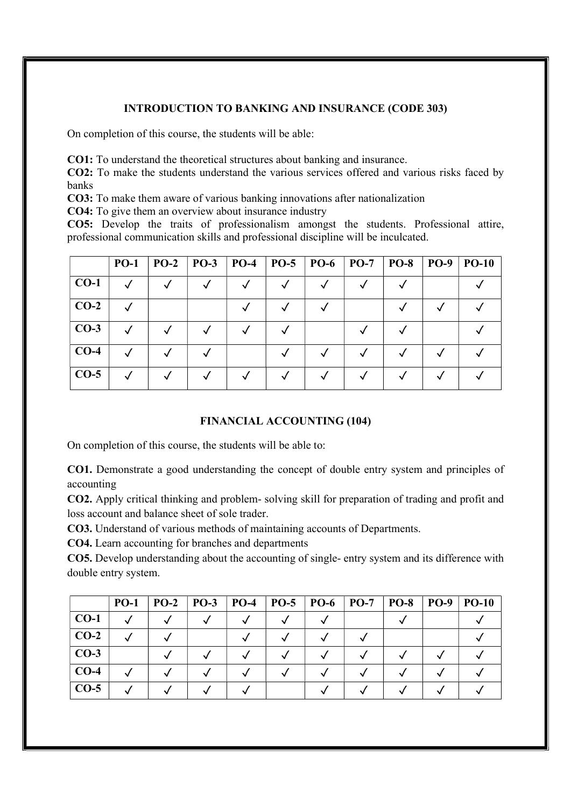# INTRODUCTION TO BANKING AND INSURANCE (CODE 303)

On completion of this course, the students will be able:

CO1: To understand the theoretical structures about banking and insurance.

CO2: To make the students understand the various services offered and various risks faced by banks

CO3: To make them aware of various banking innovations after nationalization

CO4: To give them an overview about insurance industry

CO5: Develop the traits of professionalism amongst the students. Professional attire, professional communication skills and professional discipline will be inculcated.

|        | <b>PO-1</b> | $PO-2$ | $PO-3$ | <b>PO-4</b> | $PO-5$ | <b>PO-6</b> | $PO-7$ | <b>PO-8</b> | <b>PO-9</b> | $PO-10$ |
|--------|-------------|--------|--------|-------------|--------|-------------|--------|-------------|-------------|---------|
| $CO-1$ |             |        |        |             |        |             |        |             |             |         |
| $CO-2$ |             |        |        |             |        |             |        |             |             |         |
| $CO-3$ |             |        |        |             |        |             |        |             |             |         |
| $CO-4$ |             |        |        |             |        |             |        |             |             |         |
| $CO-5$ |             |        |        |             |        |             |        |             |             |         |

# FINANCIAL ACCOUNTING (104)

On completion of this course, the students will be able to:

CO1. Demonstrate a good understanding the concept of double entry system and principles of accounting

CO2. Apply critical thinking and problem- solving skill for preparation of trading and profit and loss account and balance sheet of sole trader.

CO3. Understand of various methods of maintaining accounts of Departments.

CO4. Learn accounting for branches and departments

CO5. Develop understanding about the accounting of single- entry system and its difference with double entry system.

|        | $PO-1$ | $PO-2$ | $PO-3$ | $PO-4$ | $PO-5$ | $PO-6$   PO-7 | $PO-8$ | <b>PO-9</b> | $PO-10$ |
|--------|--------|--------|--------|--------|--------|---------------|--------|-------------|---------|
| $CO-1$ |        |        |        |        |        |               |        |             |         |
| $CO-2$ |        |        |        |        |        |               |        |             |         |
| $CO-3$ |        |        |        |        |        |               |        |             |         |
| $CO-4$ |        |        |        |        |        |               |        |             |         |
| $CO-5$ |        |        |        |        |        |               |        |             |         |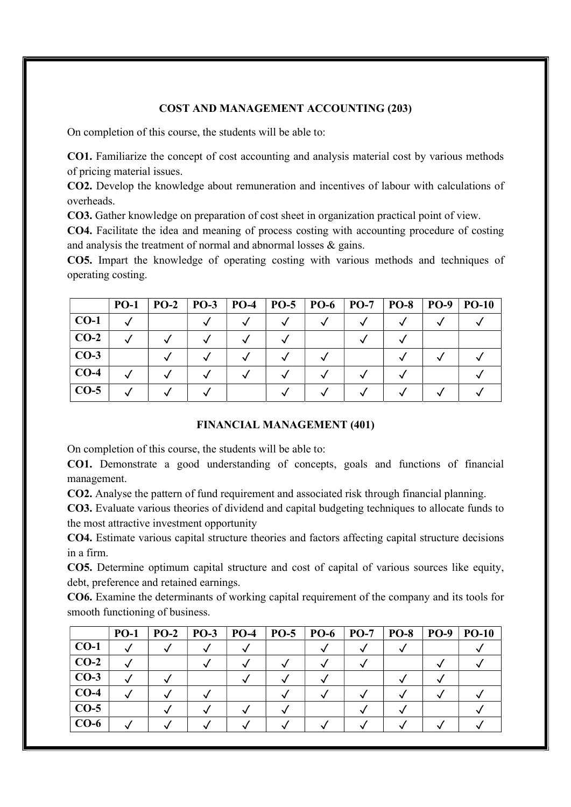# COST AND MANAGEMENT ACCOUNTING (203)

On completion of this course, the students will be able to:

CO1. Familiarize the concept of cost accounting and analysis material cost by various methods of pricing material issues.

CO2. Develop the knowledge about remuneration and incentives of labour with calculations of overheads.

CO3. Gather knowledge on preparation of cost sheet in organization practical point of view.

CO4. Facilitate the idea and meaning of process costing with accounting procedure of costing and analysis the treatment of normal and abnormal losses & gains.

CO5. Impart the knowledge of operating costing with various methods and techniques of operating costing.

|        | $PO-1$ | $PO-2$ | <b>PO-3</b> | <b>PO-4</b> | $PO-5$ | <b>PO-6</b> | $PO-7$ | <b>PO-8</b> | <b>PO-9</b> | <b>PO-10</b> |
|--------|--------|--------|-------------|-------------|--------|-------------|--------|-------------|-------------|--------------|
| $CO-1$ |        |        |             |             |        |             |        |             |             |              |
| $CO-2$ |        |        |             |             |        |             |        |             |             |              |
| $CO-3$ |        |        |             |             |        |             |        |             |             |              |
| $CO-4$ |        |        |             |             |        |             |        |             |             |              |
| $CO-5$ |        |        |             |             |        |             |        |             |             |              |

# FINANCIAL MANAGEMENT (401)

On completion of this course, the students will be able to:

CO1. Demonstrate a good understanding of concepts, goals and functions of financial management.

CO2. Analyse the pattern of fund requirement and associated risk through financial planning.

CO3. Evaluate various theories of dividend and capital budgeting techniques to allocate funds to the most attractive investment opportunity

CO4. Estimate various capital structure theories and factors affecting capital structure decisions in a firm.

CO5. Determine optimum capital structure and cost of capital of various sources like equity, debt, preference and retained earnings.

CO6. Examine the determinants of working capital requirement of the company and its tools for smooth functioning of business.

|        | <b>PO-1</b> | $PO-2$ | $PO-3$ | $PO-4$ | $PO-5$ | <b>PO-6</b> | $PO-7$ | $PO-8$ | <b>PO-9</b> | <b>PO-10</b> |
|--------|-------------|--------|--------|--------|--------|-------------|--------|--------|-------------|--------------|
| $CO-1$ |             |        |        |        |        |             |        |        |             |              |
| $CO-2$ |             |        |        |        |        |             |        |        |             |              |
| $CO-3$ |             |        |        |        |        |             |        |        |             |              |
| $CO-4$ |             |        |        |        |        |             |        |        |             |              |
| $CO-5$ |             |        |        |        |        |             |        |        |             |              |
| $CO-6$ |             |        |        |        |        |             |        |        |             |              |